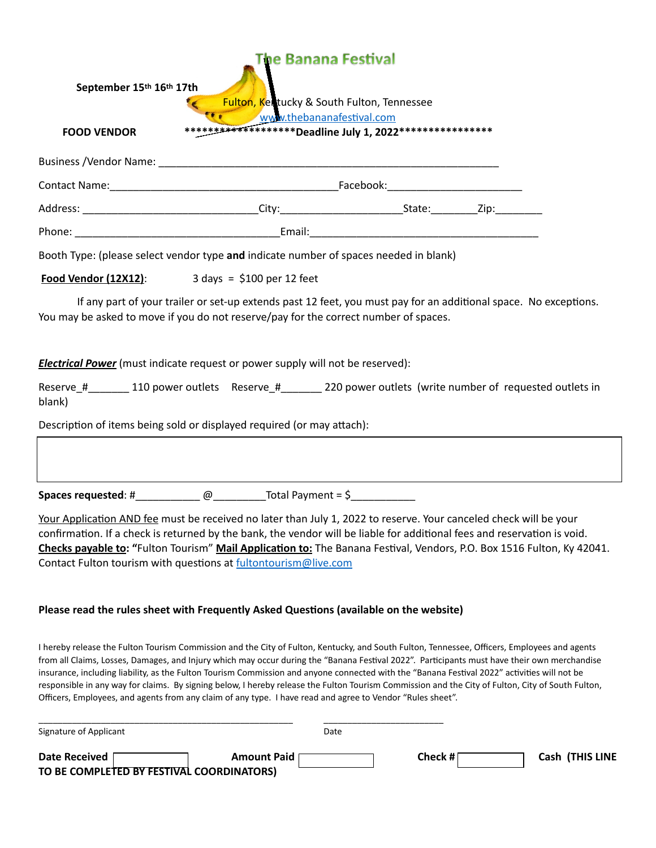| The Banana Festival<br>September 15th 16th 17th<br>Fulton, Kentucky & South Fulton, Tennessee                                                                                                                                                                                                                                                                                                                                                                                                                                                                                                                                                                                                                   |                    |      |         |  |                 |
|-----------------------------------------------------------------------------------------------------------------------------------------------------------------------------------------------------------------------------------------------------------------------------------------------------------------------------------------------------------------------------------------------------------------------------------------------------------------------------------------------------------------------------------------------------------------------------------------------------------------------------------------------------------------------------------------------------------------|--------------------|------|---------|--|-----------------|
| www.thebananafestival.com<br>******************** Deadline July 1, 2022****************<br><b>FOOD VENDOR</b>                                                                                                                                                                                                                                                                                                                                                                                                                                                                                                                                                                                                   |                    |      |         |  |                 |
|                                                                                                                                                                                                                                                                                                                                                                                                                                                                                                                                                                                                                                                                                                                 |                    |      |         |  |                 |
|                                                                                                                                                                                                                                                                                                                                                                                                                                                                                                                                                                                                                                                                                                                 |                    |      |         |  |                 |
|                                                                                                                                                                                                                                                                                                                                                                                                                                                                                                                                                                                                                                                                                                                 |                    |      |         |  |                 |
|                                                                                                                                                                                                                                                                                                                                                                                                                                                                                                                                                                                                                                                                                                                 |                    |      |         |  |                 |
| Booth Type: (please select vendor type and indicate number of spaces needed in blank)                                                                                                                                                                                                                                                                                                                                                                                                                                                                                                                                                                                                                           |                    |      |         |  |                 |
| $3 \text{ days} = $100 \text{ per } 12 \text{ feet}$<br>Food Vendor (12X12):                                                                                                                                                                                                                                                                                                                                                                                                                                                                                                                                                                                                                                    |                    |      |         |  |                 |
| If any part of your trailer or set-up extends past 12 feet, you must pay for an additional space. No exceptions.<br>You may be asked to move if you do not reserve/pay for the correct number of spaces.                                                                                                                                                                                                                                                                                                                                                                                                                                                                                                        |                    |      |         |  |                 |
| <b>Electrical Power</b> (must indicate request or power supply will not be reserved):                                                                                                                                                                                                                                                                                                                                                                                                                                                                                                                                                                                                                           |                    |      |         |  |                 |
| Reserve_#_________ 110 power outlets Reserve_#__________ 220 power outlets (write number of requested outlets in<br>blank)                                                                                                                                                                                                                                                                                                                                                                                                                                                                                                                                                                                      |                    |      |         |  |                 |
| Description of items being sold or displayed required (or may attach):                                                                                                                                                                                                                                                                                                                                                                                                                                                                                                                                                                                                                                          |                    |      |         |  |                 |
|                                                                                                                                                                                                                                                                                                                                                                                                                                                                                                                                                                                                                                                                                                                 |                    |      |         |  |                 |
| Spaces requested: #_______________@_____________Total Payment = $\frac{6}{2}$ ___________________________                                                                                                                                                                                                                                                                                                                                                                                                                                                                                                                                                                                                       |                    |      |         |  |                 |
| Your Application AND fee must be received no later than July 1, 2022 to reserve. Your canceled check will be your<br>confirmation. If a check is returned by the bank, the vendor will be liable for additional fees and reservation is void.<br>Checks payable to: "Fulton Tourism" Mail Application to: The Banana Festival, Vendors, P.O. Box 1516 Fulton, Ky 42041.<br>Contact Fulton tourism with questions at fultontourism@live.com                                                                                                                                                                                                                                                                      |                    |      |         |  |                 |
| Please read the rules sheet with Frequently Asked Questions (available on the website)                                                                                                                                                                                                                                                                                                                                                                                                                                                                                                                                                                                                                          |                    |      |         |  |                 |
| I hereby release the Fulton Tourism Commission and the City of Fulton, Kentucky, and South Fulton, Tennessee, Officers, Employees and agents<br>from all Claims, Losses, Damages, and Injury which may occur during the "Banana Festival 2022". Participants must have their own merchandise<br>insurance, including liability, as the Fulton Tourism Commission and anyone connected with the "Banana Festival 2022" activities will not be<br>responsible in any way for claims. By signing below, I hereby release the Fulton Tourism Commission and the City of Fulton, City of South Fulton,<br>Officers, Employees, and agents from any claim of any type. I have read and agree to Vendor "Rules sheet". |                    |      |         |  |                 |
| Signature of Applicant                                                                                                                                                                                                                                                                                                                                                                                                                                                                                                                                                                                                                                                                                          |                    | Date |         |  |                 |
| <b>Date Received</b><br>TO BE COMPLETED BY FESTIVAL COORDINATORS)                                                                                                                                                                                                                                                                                                                                                                                                                                                                                                                                                                                                                                               | <b>Amount Paid</b> |      | Check # |  | Cash (THIS LINE |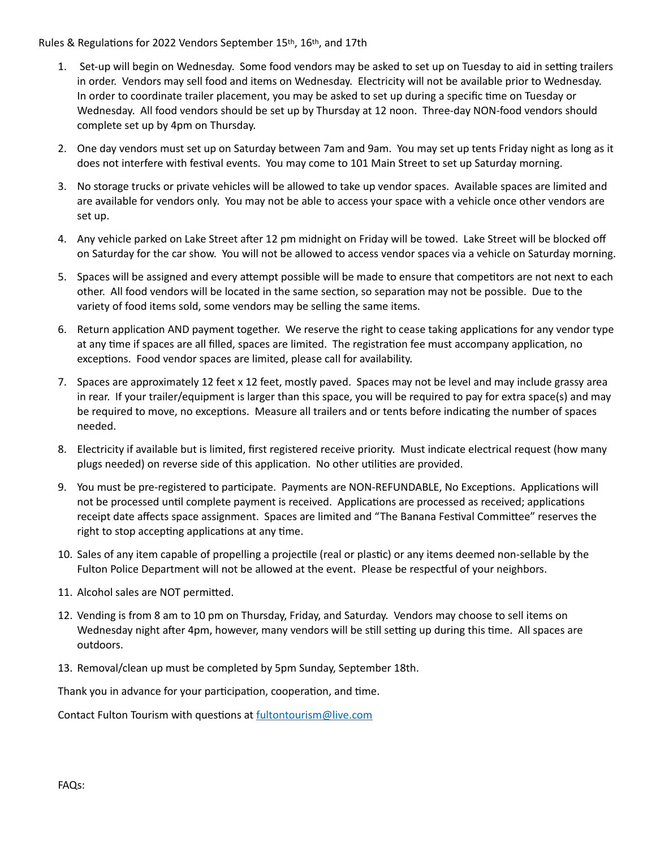## Rules & Regulations for 2022 Vendors September 15th, 16th, and 17th

- 1. Set-up will begin on Wednesday. Some food vendors may be asked to set up on Tuesday to aid in setting trailers in order. Vendors may sell food and items on Wednesday. Electricity will not be available prior to Wednesday. In order to coordinate trailer placement, you may be asked to set up during a specific time on Tuesday or Wednesday. All food vendors should be set up by Thursday at 12 noon. Three-day NON-food vendors should complete set up by 4pm on Thursday.
- 2. One day vendors must set up on Saturday between 7am and 9am. You may set up tents Friday night as long as it does not interfere with festival events. You may come to 101 Main Street to set up Saturday morning.
- 3. No storage trucks or private vehicles will be allowed to take up vendor spaces. Available spaces are limited and are available for vendors only. You may not be able to access your space with a vehicle once other vendors are set up.
- 4. Any vehicle parked on Lake Street after 12 pm midnight on Friday will be towed. Lake Street will be blocked off on Saturday for the car show. You will not be allowed to access vendor spaces via a vehicle on Saturday morning.
- 5. Spaces will be assigned and every attempt possible will be made to ensure that competitors are not next to each other. All food vendors will be located in the same section, so separation may not be possible. Due to the variety of food items sold, some vendors may be selling the same items.
- 6. Return application AND payment together. We reserve the right to cease taking applications for any vendor type at any time if spaces are all filled, spaces are limited. The registration fee must accompany application, no exceptions. Food vendor spaces are limited, please call for availability.
- 7. Spaces are approximately 12 feet x 12 feet, mostly paved. Spaces may not be level and may include grassy area in rear. If your trailer/equipment is larger than this space, you will be required to pay for extra space(s) and may be required to move, no exceptions. Measure all trailers and or tents before indicating the number of spaces needed.
- 8. Electricity if available but is limited, first registered receive priority. Must indicate electrical request (how many plugs needed) on reverse side of this application. No other utilities are provided.
- 9. You must be pre-registered to participate. Payments are NON-REFUNDABLE, No Exceptions. Applications will not be processed until complete payment is received. Applications are processed as received; applications receipt date affects space assignment. Spaces are limited and "The Banana Festival Committee" reserves the right to stop accepting applications at any time.
- 10. Sales of any item capable of propelling a projectile (real or plastic) or any items deemed non-sellable by the Fulton Police Department will not be allowed at the event. Please be respectful of your neighbors.
- 11. Alcohol sales are NOT permitted.
- 12. Vending is from 8 am to 10 pm on Thursday, Friday, and Saturday. Vendors may choose to sell items on Wednesday night after 4pm, however, many vendors will be still setting up during this time. All spaces are outdoors.
- 13. Removal/clean up must be completed by 5pm Sunday, September 18th.

Thank you in advance for your participation, cooperation, and time.

Contact Fulton Tourism with questions at [fultontourism@live.com](mailto:fultontourism@live.com)